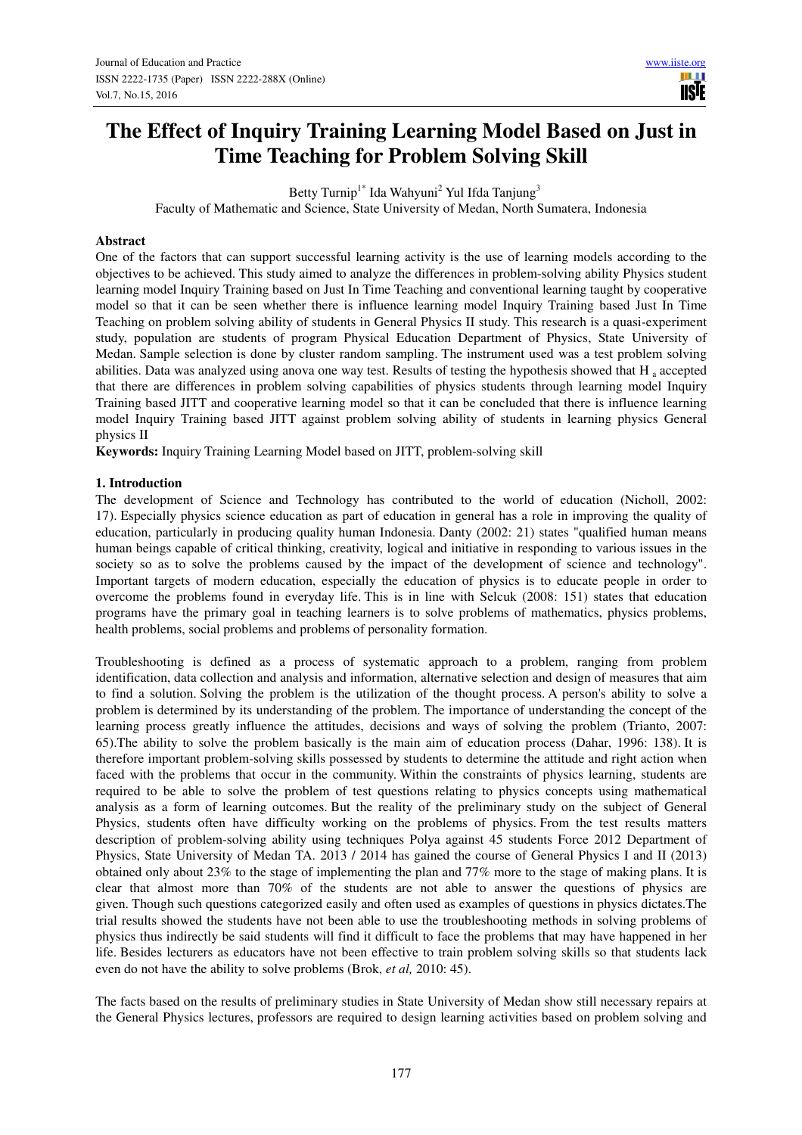ШI **IISTE** 

# **The Effect of Inquiry Training Learning Model Based on Just in Time Teaching for Problem Solving Skill**

Betty Turnip<sup>1\*</sup> Ida Wahyuni<sup>2</sup> Yul Ifda Tanjung<sup>3</sup>

Faculty of Mathematic and Science, State University of Medan, North Sumatera, Indonesia

#### **Abstract**

One of the factors that can support successful learning activity is the use of learning models according to the objectives to be achieved. This study aimed to analyze the differences in problem-solving ability Physics student learning model Inquiry Training based on Just In Time Teaching and conventional learning taught by cooperative model so that it can be seen whether there is influence learning model Inquiry Training based Just In Time Teaching on problem solving ability of students in General Physics II study. This research is a quasi-experiment study, population are students of program Physical Education Department of Physics, State University of Medan. Sample selection is done by cluster random sampling. The instrument used was a test problem solving abilities. Data was analyzed using anova one way test. Results of testing the hypothesis showed that H<sub>a</sub> accepted that there are differences in problem solving capabilities of physics students through learning model Inquiry Training based JITT and cooperative learning model so that it can be concluded that there is influence learning model Inquiry Training based JITT against problem solving ability of students in learning physics General physics II

**Keywords:** Inquiry Training Learning Model based on JITT, problem-solving skill

#### **1. Introduction**

The development of Science and Technology has contributed to the world of education (Nicholl, 2002: 17). Especially physics science education as part of education in general has a role in improving the quality of education, particularly in producing quality human Indonesia. Danty (2002: 21) states "qualified human means human beings capable of critical thinking, creativity, logical and initiative in responding to various issues in the society so as to solve the problems caused by the impact of the development of science and technology". Important targets of modern education, especially the education of physics is to educate people in order to overcome the problems found in everyday life. This is in line with Selcuk (2008: 151) states that education programs have the primary goal in teaching learners is to solve problems of mathematics, physics problems, health problems, social problems and problems of personality formation.

Troubleshooting is defined as a process of systematic approach to a problem, ranging from problem identification, data collection and analysis and information, alternative selection and design of measures that aim to find a solution. Solving the problem is the utilization of the thought process. A person's ability to solve a problem is determined by its understanding of the problem. The importance of understanding the concept of the learning process greatly influence the attitudes, decisions and ways of solving the problem (Trianto, 2007: 65).The ability to solve the problem basically is the main aim of education process (Dahar, 1996: 138). It is therefore important problem-solving skills possessed by students to determine the attitude and right action when faced with the problems that occur in the community. Within the constraints of physics learning, students are required to be able to solve the problem of test questions relating to physics concepts using mathematical analysis as a form of learning outcomes. But the reality of the preliminary study on the subject of General Physics, students often have difficulty working on the problems of physics. From the test results matters description of problem-solving ability using techniques Polya against 45 students Force 2012 Department of Physics, State University of Medan TA. 2013 / 2014 has gained the course of General Physics I and II (2013) obtained only about 23% to the stage of implementing the plan and 77% more to the stage of making plans. It is clear that almost more than 70% of the students are not able to answer the questions of physics are given. Though such questions categorized easily and often used as examples of questions in physics dictates.The trial results showed the students have not been able to use the troubleshooting methods in solving problems of physics thus indirectly be said students will find it difficult to face the problems that may have happened in her life. Besides lecturers as educators have not been effective to train problem solving skills so that students lack even do not have the ability to solve problems (Brok, *et al,* 2010: 45).

The facts based on the results of preliminary studies in State University of Medan show still necessary repairs at the General Physics lectures, professors are required to design learning activities based on problem solving and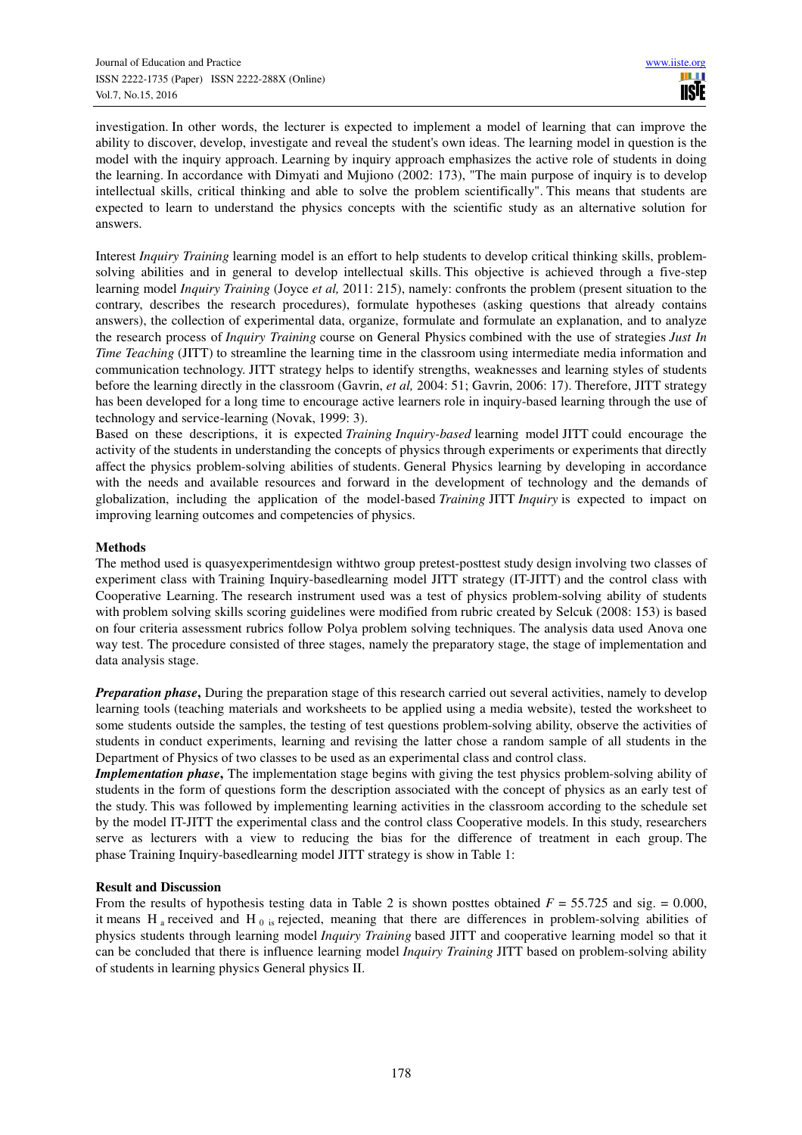investigation. In other words, the lecturer is expected to implement a model of learning that can improve the ability to discover, develop, investigate and reveal the student's own ideas. The learning model in question is the model with the inquiry approach. Learning by inquiry approach emphasizes the active role of students in doing the learning. In accordance with Dimyati and Mujiono (2002: 173), "The main purpose of inquiry is to develop intellectual skills, critical thinking and able to solve the problem scientifically". This means that students are expected to learn to understand the physics concepts with the scientific study as an alternative solution for answers.

Interest *Inquiry Training* learning model is an effort to help students to develop critical thinking skills, problemsolving abilities and in general to develop intellectual skills. This objective is achieved through a five-step learning model *Inquiry Training* (Joyce *et al,* 2011: 215), namely: confronts the problem (present situation to the contrary, describes the research procedures), formulate hypotheses (asking questions that already contains answers), the collection of experimental data, organize, formulate and formulate an explanation, and to analyze the research process of *Inquiry Training* course on General Physics combined with the use of strategies *Just In Time Teaching* (JITT) to streamline the learning time in the classroom using intermediate media information and communication technology. JITT strategy helps to identify strengths, weaknesses and learning styles of students before the learning directly in the classroom (Gavrin, *et al,* 2004: 51; Gavrin, 2006: 17). Therefore, JITT strategy has been developed for a long time to encourage active learners role in inquiry-based learning through the use of technology and service-learning (Novak, 1999: 3).

Based on these descriptions, it is expected *Training Inquiry-based* learning model JITT could encourage the activity of the students in understanding the concepts of physics through experiments or experiments that directly affect the physics problem-solving abilities of students. General Physics learning by developing in accordance with the needs and available resources and forward in the development of technology and the demands of globalization, including the application of the model-based *Training* JITT *Inquiry* is expected to impact on improving learning outcomes and competencies of physics.

## **Methods**

The method used is quasyexperimentdesign withtwo group pretest-posttest study design involving two classes of experiment class with Training Inquiry-basedlearning model JITT strategy (IT-JITT) and the control class with Cooperative Learning. The research instrument used was a test of physics problem-solving ability of students with problem solving skills scoring guidelines were modified from rubric created by Selcuk (2008: 153) is based on four criteria assessment rubrics follow Polya problem solving techniques. The analysis data used Anova one way test. The procedure consisted of three stages, namely the preparatory stage, the stage of implementation and data analysis stage.

*Preparation phase*, During the preparation stage of this research carried out several activities, namely to develop learning tools (teaching materials and worksheets to be applied using a media website), tested the worksheet to some students outside the samples, the testing of test questions problem-solving ability, observe the activities of students in conduct experiments, learning and revising the latter chose a random sample of all students in the Department of Physics of two classes to be used as an experimental class and control class.

*Implementation phase*, The implementation stage begins with giving the test physics problem-solving ability of students in the form of questions form the description associated with the concept of physics as an early test of the study. This was followed by implementing learning activities in the classroom according to the schedule set by the model IT-JITT the experimental class and the control class Cooperative models. In this study, researchers serve as lecturers with a view to reducing the bias for the difference of treatment in each group. The phase Training Inquiry-basedlearning model JITT strategy is show in Table 1:

## **Result and Discussion**

From the results of hypothesis testing data in Table 2 is shown posttes obtained *F* = 55.725 and sig. = 0.000, it means H<sub>a</sub> received and H<sub>0</sub> is rejected, meaning that there are differences in problem-solving abilities of physics students through learning model *Inquiry Training* based JITT and cooperative learning model so that it can be concluded that there is influence learning model *Inquiry Training* JITT based on problem-solving ability of students in learning physics General physics II.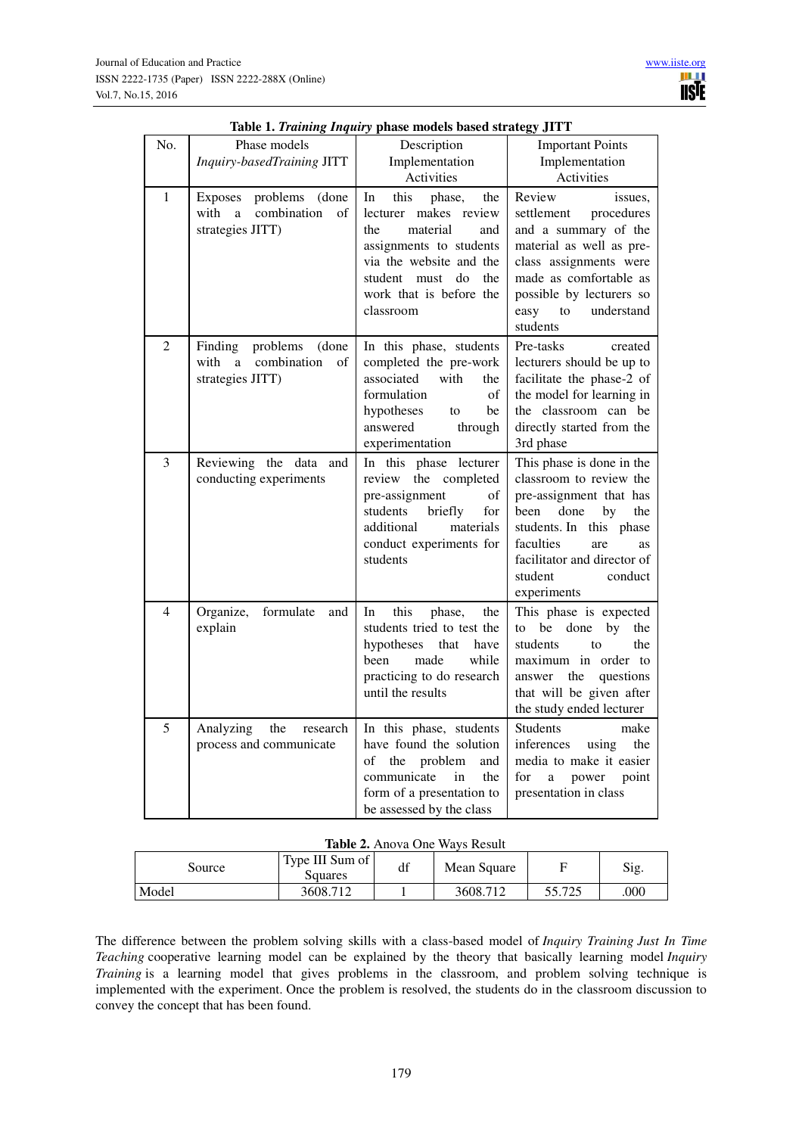|                |                                                                                 | radic 1. Training Inquiry phase models based strategy J11 1                                                                                                                                               |                                                                                                                                                                                                                                       |  |  |
|----------------|---------------------------------------------------------------------------------|-----------------------------------------------------------------------------------------------------------------------------------------------------------------------------------------------------------|---------------------------------------------------------------------------------------------------------------------------------------------------------------------------------------------------------------------------------------|--|--|
| No.            | Phase models                                                                    | Description                                                                                                                                                                                               | <b>Important Points</b>                                                                                                                                                                                                               |  |  |
|                | Inquiry-basedTraining JITT                                                      | Implementation                                                                                                                                                                                            | Implementation                                                                                                                                                                                                                        |  |  |
|                |                                                                                 | Activities                                                                                                                                                                                                | Activities                                                                                                                                                                                                                            |  |  |
| $\mathbf{1}$   | Exposes<br>problems (done<br>combination<br>with<br>a<br>of<br>strategies JITT) | this<br>In<br>phase,<br>the<br>lecturer makes review<br>the<br>material<br>and<br>assignments to students<br>via the website and the<br>do<br>the<br>student must<br>work that is before the<br>classroom | Review<br>issues.<br>settlement procedures<br>and a summary of the<br>material as well as pre-<br>class assignments were<br>made as comfortable as<br>possible by lecturers so<br>easy to<br>understand<br>students                   |  |  |
| 2              | Finding problems (done<br>combination<br>with<br>a a<br>of<br>strategies JITT)  | In this phase, students<br>completed the pre-work<br>associated<br>with<br>the<br>formulation<br>of<br>hypotheses<br>be<br>to<br>through<br>answered<br>experimentation                                   | Pre-tasks<br>created<br>lecturers should be up to<br>facilitate the phase-2 of<br>the model for learning in<br>the classroom can be<br>directly started from the<br>3rd phase                                                         |  |  |
| 3              | Reviewing the data<br>and<br>conducting experiments                             | In this phase lecturer<br>review the completed<br>pre-assignment<br>of<br>students<br>briefly<br>for<br>additional<br>materials<br>conduct experiments for<br>students                                    | This phase is done in the<br>classroom to review the<br>pre-assignment that has<br>done<br>by<br>been<br>the<br>students. In this phase<br>faculties<br>are<br>as<br>facilitator and director of<br>student<br>conduct<br>experiments |  |  |
| $\overline{4}$ | Organize,<br>formulate<br>and<br>explain                                        | this<br>In<br>phase,<br>the<br>students tried to test the<br>hypotheses that<br>have<br>been<br>made<br>while<br>practicing to do research<br>until the results                                           | This phase is expected<br>to be<br>done<br>by<br>the<br>students<br>the<br>to<br>maximum in order to<br>the questions<br>answer<br>that will be given after<br>the study ended lecturer                                               |  |  |
| 5              | Analyzing<br>the<br>research<br>process and communicate                         | In this phase, students<br>have found the solution<br>of the problem<br>and<br>communicate<br>the<br>in<br>form of a presentation to<br>be assessed by the class                                          | <b>Students</b><br>make<br>inferences using<br>the<br>media to make it easier<br>for<br>a<br>power<br>point<br>presentation in class                                                                                                  |  |  |

|  |  |  |  |  | Table 1. Training Inquiry phase models based strategy JITT |  |
|--|--|--|--|--|------------------------------------------------------------|--|
|  |  |  |  |  |                                                            |  |

#### **Table 2.** Anova One Ways Result

| Source | Type III Sum of<br>Squares | df | Mean Square |        | Sig. |  |  |  |
|--------|----------------------------|----|-------------|--------|------|--|--|--|
| Model  | 3608.712                   |    | 3608.712    | 55 775 | 000  |  |  |  |

The difference between the problem solving skills with a class-based model of *Inquiry Training Just In Time Teaching* cooperative learning model can be explained by the theory that basically learning model *Inquiry Training* is a learning model that gives problems in the classroom, and problem solving technique is implemented with the experiment. Once the problem is resolved, the students do in the classroom discussion to convey the concept that has been found.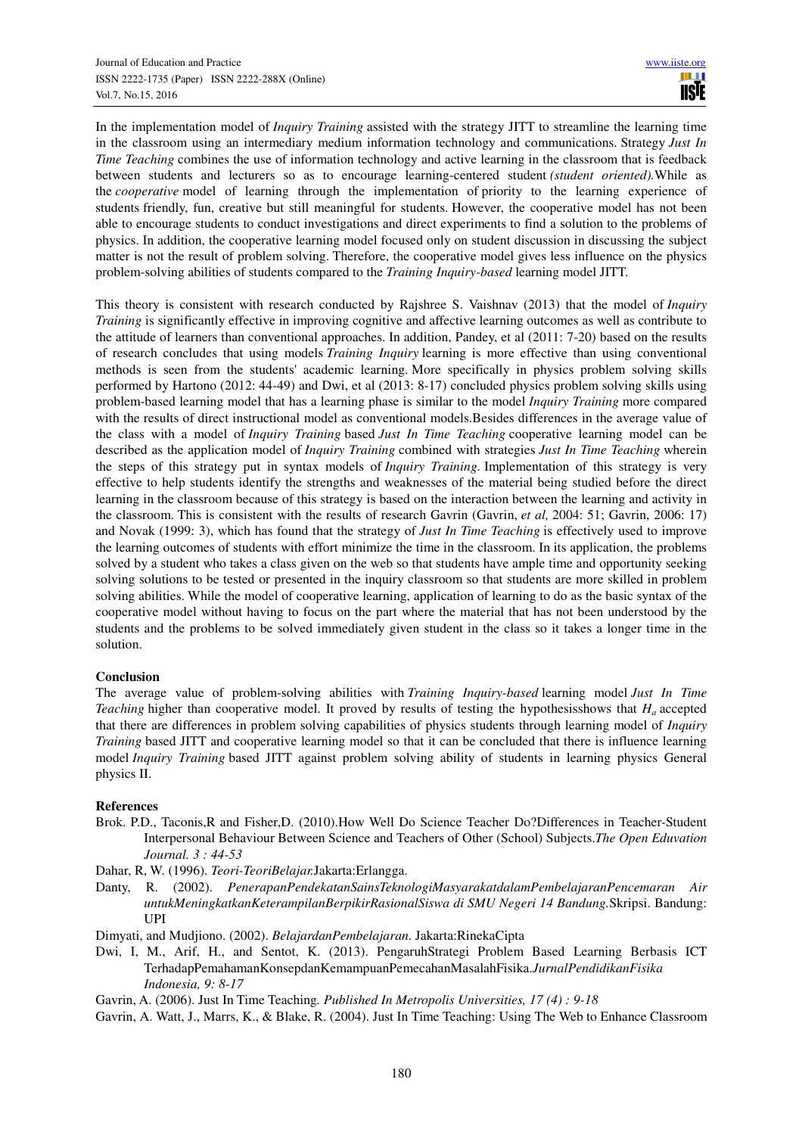In the implementation model of *Inquiry Training* assisted with the strategy JITT to streamline the learning time in the classroom using an intermediary medium information technology and communications. Strategy *Just In Time Teaching* combines the use of information technology and active learning in the classroom that is feedback between students and lecturers so as to encourage learning-centered student *(student oriented).*While as the *cooperative* model of learning through the implementation of priority to the learning experience of students friendly, fun, creative but still meaningful for students. However, the cooperative model has not been able to encourage students to conduct investigations and direct experiments to find a solution to the problems of physics. In addition, the cooperative learning model focused only on student discussion in discussing the subject matter is not the result of problem solving. Therefore, the cooperative model gives less influence on the physics problem-solving abilities of students compared to the *Training Inquiry-based* learning model JITT.

This theory is consistent with research conducted by Rajshree S. Vaishnav (2013) that the model of *Inquiry Training* is significantly effective in improving cognitive and affective learning outcomes as well as contribute to the attitude of learners than conventional approaches. In addition, Pandey, et al (2011: 7-20) based on the results of research concludes that using models *Training Inquiry* learning is more effective than using conventional methods is seen from the students' academic learning. More specifically in physics problem solving skills performed by Hartono (2012: 44-49) and Dwi, et al (2013: 8-17) concluded physics problem solving skills using problem-based learning model that has a learning phase is similar to the model *Inquiry Training* more compared with the results of direct instructional model as conventional models.Besides differences in the average value of the class with a model of *Inquiry Training* based *Just In Time Teaching* cooperative learning model can be described as the application model of *Inquiry Training* combined with strategies *Just In Time Teaching* wherein the steps of this strategy put in syntax models of *Inquiry Training.* Implementation of this strategy is very effective to help students identify the strengths and weaknesses of the material being studied before the direct learning in the classroom because of this strategy is based on the interaction between the learning and activity in the classroom. This is consistent with the results of research Gavrin (Gavrin, *et al,* 2004: 51; Gavrin, 2006: 17) and Novak (1999: 3), which has found that the strategy of *Just In Time Teaching* is effectively used to improve the learning outcomes of students with effort minimize the time in the classroom. In its application, the problems solved by a student who takes a class given on the web so that students have ample time and opportunity seeking solving solutions to be tested or presented in the inquiry classroom so that students are more skilled in problem solving abilities. While the model of cooperative learning, application of learning to do as the basic syntax of the cooperative model without having to focus on the part where the material that has not been understood by the students and the problems to be solved immediately given student in the class so it takes a longer time in the solution.

## **Conclusion**

The average value of problem-solving abilities with *Training Inquiry-based* learning model *Just In Time Teaching* higher than cooperative model. It proved by results of testing the hypothesisshows that *Ha* accepted that there are differences in problem solving capabilities of physics students through learning model of *Inquiry Training* based JITT and cooperative learning model so that it can be concluded that there is influence learning model *Inquiry Training* based JITT against problem solving ability of students in learning physics General physics II.

## **References**

- Brok. P.D., Taconis,R and Fisher,D. (2010).How Well Do Science Teacher Do?Differences in Teacher-Student Interpersonal Behaviour Between Science and Teachers of Other (School) Subjects.*The Open Eduvation Journal. 3 : 44-53*
- Dahar, R, W. (1996). *Teori-TeoriBelajar.*Jakarta:Erlangga.
- Danty, R. (2002). *PenerapanPendekatanSainsTeknologiMasyarakatdalamPembelajaranPencemaran Air untukMeningkatkanKeterampilanBerpikirRasionalSiswa di SMU Negeri 14 Bandung.*Skripsi. Bandung: UPI
- Dimyati, and Mudjiono. (2002). *BelajardanPembelajaran*. Jakarta:RinekaCipta
- Dwi, I, M., Arif, H., and Sentot, K. (2013). PengaruhStrategi Problem Based Learning Berbasis ICT TerhadapPemahamanKonsepdanKemampuanPemecahanMasalahFisika.*JurnalPendidikanFisika Indonesia, 9: 8-17*

Gavrin, A. (2006). Just In Time Teaching*. Published In Metropolis Universities, 17 (4) : 9-18*

Gavrin, A. Watt, J., Marrs, K., & Blake, R. (2004). Just In Time Teaching: Using The Web to Enhance Classroom